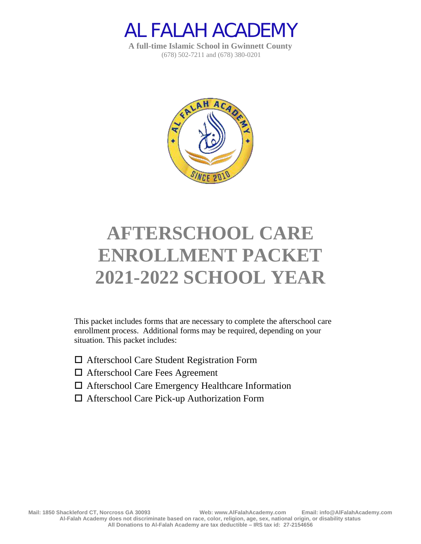

**A full-time Islamic School in Gwinnett County** (678) 502-7211 and (678) 380-0201



# **AFTERSCHOOL CARE ENROLLMENT PACKET 2021-2022 SCHOOL YEAR**

This packet includes forms that are necessary to complete the afterschool care enrollment process. Additional forms may be required, depending on your situation. This packet includes:

- Afterschool Care Student Registration Form
- Afterschool Care Fees Agreement
- Afterschool Care Emergency Healthcare Information
- Afterschool Care Pick-up Authorization Form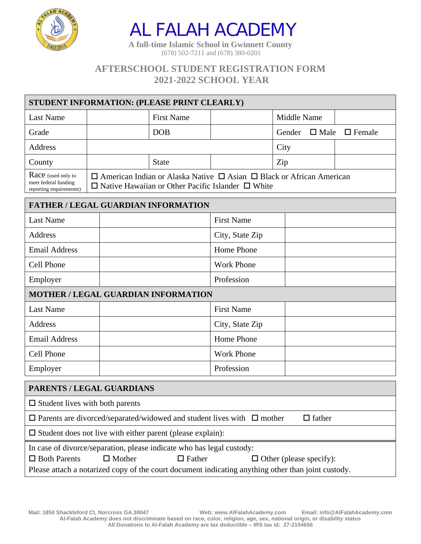

**A full-time Islamic School in Gwinnett County** (678) 502-7211 and (678) 380-0201

## **AFTERSCHOOL STUDENT REGISTRATION FORM 2021-2022 SCHOOL YEAR**

| STUDENT INFORMATION: (PLEASE PRINT CLEARLY)                           |                                                                                                                                                        |                   |  |             |                           |  |
|-----------------------------------------------------------------------|--------------------------------------------------------------------------------------------------------------------------------------------------------|-------------------|--|-------------|---------------------------|--|
| Last Name                                                             |                                                                                                                                                        | <b>First Name</b> |  | Middle Name |                           |  |
| Grade                                                                 |                                                                                                                                                        | <b>DOB</b>        |  | Gender      | $\Box$ Male $\Box$ Female |  |
| Address                                                               |                                                                                                                                                        |                   |  | City        |                           |  |
| County                                                                |                                                                                                                                                        | <b>State</b>      |  | Zip         |                           |  |
| Race (used only to<br>meet federal funding<br>reporting requirements) | $\Box$ American Indian or Alaska Native $\Box$ Asian $\Box$ Black or African American<br>$\Box$ Native Hawaiian or Other Pacific Islander $\Box$ White |                   |  |             |                           |  |

| <b>FATHER / LEGAL GUARDIAN INFORMATION</b> |                                            |  |  |  |  |
|--------------------------------------------|--------------------------------------------|--|--|--|--|
| <b>Last Name</b>                           | <b>First Name</b>                          |  |  |  |  |
| Address                                    | City, State Zip                            |  |  |  |  |
| <b>Email Address</b>                       | Home Phone                                 |  |  |  |  |
| Cell Phone                                 | <b>Work Phone</b>                          |  |  |  |  |
| Employer                                   | Profession                                 |  |  |  |  |
|                                            | <b>MOTHER / LEGAL GUARDIAN INFORMATION</b> |  |  |  |  |
| <b>Last Name</b>                           | <b>First Name</b>                          |  |  |  |  |
| Address                                    | City, State Zip                            |  |  |  |  |
| <b>Email Address</b>                       | Home Phone                                 |  |  |  |  |
| Cell Phone                                 | <b>Work Phone</b>                          |  |  |  |  |
| Employer                                   | Profession                                 |  |  |  |  |

| PARENTS / LEGAL GUARDIANS                                                                          |               |                                                                                    |                                |               |  |
|----------------------------------------------------------------------------------------------------|---------------|------------------------------------------------------------------------------------|--------------------------------|---------------|--|
| $\Box$ Student lives with both parents                                                             |               |                                                                                    |                                |               |  |
|                                                                                                    |               | $\Box$ Parents are divorced/separated/widowed and student lives with $\Box$ mother |                                | $\Box$ father |  |
|                                                                                                    |               | $\Box$ Student does not live with either parent (please explain):                  |                                |               |  |
| In case of divorce/separation, please indicate who has legal custody:                              |               |                                                                                    |                                |               |  |
| $\Box$ Both Parents                                                                                | $\Box$ Mother | $\Box$ Father                                                                      | $\Box$ Other (please specify): |               |  |
| Please attach a notarized copy of the court document indicating anything other than joint custody. |               |                                                                                    |                                |               |  |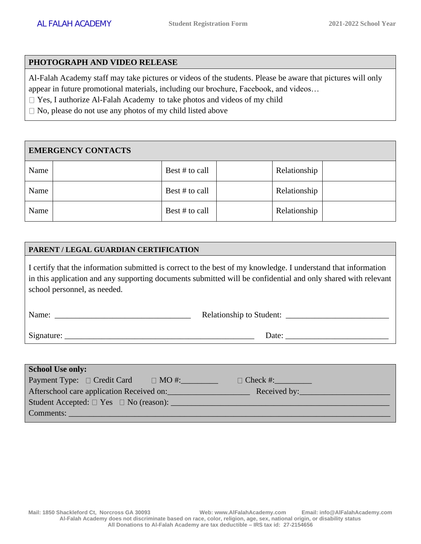#### **PHOTOGRAPH AND VIDEO RELEASE**

Al-Falah Academy staff may take pictures or videos of the students. Please be aware that pictures will only appear in future promotional materials, including our brochure, Facebook, and videos…

□ Yes, I authorize Al-Falah Academy to take photos and videos of my child

 $\Box$  No, please do not use any photos of my child listed above

#### **EMERGENCY CONTACTS**

| Name | Best # to call | Relationship |  |
|------|----------------|--------------|--|
| Name | Best # to call | Relationship |  |
| Name | Best # to call | Relationship |  |

#### **PARENT / LEGAL GUARDIAN CERTIFICATION**

I certify that the information submitted is correct to the best of my knowledge. I understand that information in this application and any supporting documents submitted will be confidential and only shared with relevant school personnel, as needed.

| Name:      | <b>Relationship to Student:</b> |
|------------|---------------------------------|
| Signature: | Date:                           |

| <b>School Use only:</b>                                  |                 |
|----------------------------------------------------------|-----------------|
| Payment Type: $\Box$ Credit Card<br>$\Box$ MO #:         | $\Box$ Check #: |
| Afterschool care application Received on:                | Received by:    |
| Student Accepted: $\Box$ Yes $\Box$ No (reason): _______ |                 |
| Comments:                                                |                 |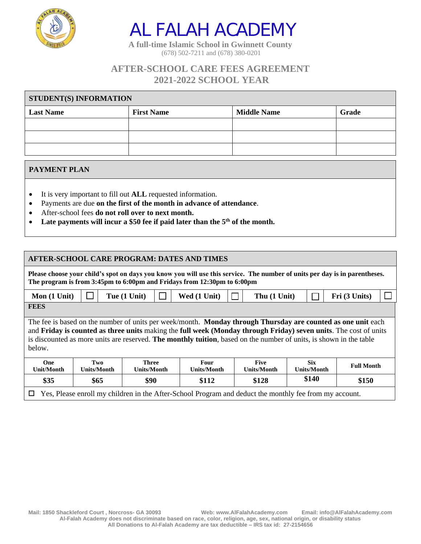

**A full-time Islamic School in Gwinnett County** (678) 502-7211 and (678) 380-0201

## **AFTER-SCHOOL CARE FEES AGREEMENT 2021-2022 SCHOOL YEAR**

| <b>STUDENT(S) INFORMATION</b> |                   |                    |       |  |  |
|-------------------------------|-------------------|--------------------|-------|--|--|
| <b>Last Name</b>              | <b>First Name</b> | <b>Middle Name</b> | Grade |  |  |
|                               |                   |                    |       |  |  |
|                               |                   |                    |       |  |  |
|                               |                   |                    |       |  |  |

#### **PAYMENT PLAN**

- It is very important to fill out **ALL** requested information.
- Payments are due **on the first of the month in advance of attendance**.
- After-school fees **do not roll over to next month.**
- **Late payments will incur a \$50 fee if paid later than the 5th of the month.**

| <b>AFTER-SCHOOL CARE PROGRAM: DATES AND TIMES</b>                                                                                                                                                                                                                                                                                                                |                                                                                                                                                                                             |              |  |              |  |  |              |  |                                                                                                                            |  |
|------------------------------------------------------------------------------------------------------------------------------------------------------------------------------------------------------------------------------------------------------------------------------------------------------------------------------------------------------------------|---------------------------------------------------------------------------------------------------------------------------------------------------------------------------------------------|--------------|--|--------------|--|--|--------------|--|----------------------------------------------------------------------------------------------------------------------------|--|
| The program is from 3:45pm to 6:00pm and Fridays from 12:30pm to 6:00pm                                                                                                                                                                                                                                                                                          |                                                                                                                                                                                             |              |  |              |  |  |              |  | Please choose your child's spot on days you know you will use this service. The number of units per day is in parentheses. |  |
| Mon (1 Unit)                                                                                                                                                                                                                                                                                                                                                     |                                                                                                                                                                                             | Tue (1 Unit) |  | Wed (1 Unit) |  |  | Thu (1 Unit) |  | Fri (3 Units)                                                                                                              |  |
| <b>FEES</b>                                                                                                                                                                                                                                                                                                                                                      |                                                                                                                                                                                             |              |  |              |  |  |              |  |                                                                                                                            |  |
| The fee is based on the number of units per week/month. Monday through Thursday are counted as one unit each<br>and Friday is counted as three units making the full week (Monday through Friday) seven units. The cost of units<br>is discounted as more units are reserved. The monthly tuition, based on the number of units, is shown in the table<br>below. |                                                                                                                                                                                             |              |  |              |  |  |              |  |                                                                                                                            |  |
| One<br>Unit/Month                                                                                                                                                                                                                                                                                                                                                | <b>Six</b><br><b>Five</b><br>Two<br><b>Three</b><br>Four<br><b>Full Month</b><br><b>Units/Month</b><br><b>Units/Month</b><br><b>Units/Month</b><br><b>Units/Month</b><br><b>Units/Month</b> |              |  |              |  |  |              |  |                                                                                                                            |  |
| \$140<br>\$150<br>\$35<br>\$65<br>\$90<br>\$112<br>\$128                                                                                                                                                                                                                                                                                                         |                                                                                                                                                                                             |              |  |              |  |  |              |  |                                                                                                                            |  |
| Yes, Please enroll my children in the After-School Program and deduct the monthly fee from my account.<br>$\Box$                                                                                                                                                                                                                                                 |                                                                                                                                                                                             |              |  |              |  |  |              |  |                                                                                                                            |  |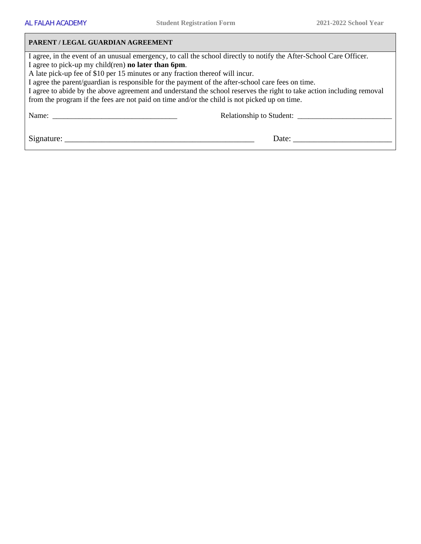#### **PARENT / LEGAL GUARDIAN AGREEMENT**

I agree, in the event of an unusual emergency, to call the school directly to notify the After-School Care Officer. I agree to pick-up my child(ren) **no later than 6pm**.

A late pick-up fee of \$10 per 15 minutes or any fraction thereof will incur.

I agree the parent/guardian is responsible for the payment of the after-school care fees on time.

I agree to abide by the above agreement and understand the school reserves the right to take action including removal from the program if the fees are not paid on time and/or the child is not picked up on time.

Name: \_\_\_\_\_\_\_\_\_\_\_\_\_\_\_\_\_\_\_\_\_\_\_\_\_\_\_\_\_\_\_\_\_ Relationship to Student: \_\_\_\_\_\_\_\_\_\_\_\_\_\_\_\_\_\_\_\_\_\_\_\_\_

Signature: \_\_\_\_\_\_\_\_\_\_\_\_\_\_\_\_\_\_\_\_\_\_\_\_\_\_\_\_\_\_\_\_\_\_\_\_\_\_\_\_\_\_\_\_\_\_ Date: \_\_\_\_\_\_\_\_\_\_\_\_\_\_\_\_\_\_\_\_\_\_\_\_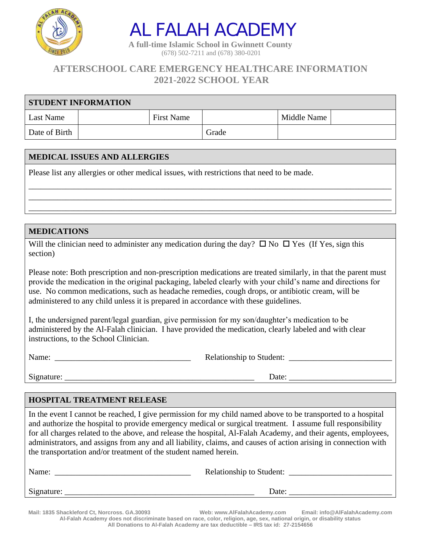

**A full-time Islamic School in Gwinnett County** (678) 502-7211 and (678) 380-0201

## **AFTERSCHOOL CARE EMERGENCY HEALTHCARE INFORMATION 2021-2022 SCHOOL YEAR**

| <b>STUDENT INFORMATION</b> |                   |       |             |  |  |  |
|----------------------------|-------------------|-------|-------------|--|--|--|
| Last Name                  | <b>First Name</b> |       | Middle Name |  |  |  |
| Date of Birth              |                   | Grade |             |  |  |  |

\_\_\_\_\_\_\_\_\_\_\_\_\_\_\_\_\_\_\_\_\_\_\_\_\_\_\_\_\_\_\_\_\_\_\_\_\_\_\_\_\_\_\_\_\_\_\_\_\_\_\_\_\_\_\_\_\_\_\_\_\_\_\_\_\_\_\_\_\_\_\_\_\_\_\_\_\_\_\_\_\_\_\_\_\_\_\_\_ \_\_\_\_\_\_\_\_\_\_\_\_\_\_\_\_\_\_\_\_\_\_\_\_\_\_\_\_\_\_\_\_\_\_\_\_\_\_\_\_\_\_\_\_\_\_\_\_\_\_\_\_\_\_\_\_\_\_\_\_\_\_\_\_\_\_\_\_\_\_\_\_\_\_\_\_\_\_\_\_\_\_\_\_\_\_\_\_ \_\_\_\_\_\_\_\_\_\_\_\_\_\_\_\_\_\_\_\_\_\_\_\_\_\_\_\_\_\_\_\_\_\_\_\_\_\_\_\_\_\_\_\_\_\_\_\_\_\_\_\_\_\_\_\_\_\_\_\_\_\_\_\_\_\_\_\_\_\_\_\_\_\_\_\_\_\_\_\_\_\_\_\_\_\_\_\_

#### **MEDICAL ISSUES AND ALLERGIES**

Please list any allergies or other medical issues, with restrictions that need to be made.

#### **MEDICATIONS**

Will the clinician need to administer any medication during the day?  $\Box$  No  $\Box$  Yes (If Yes, sign this section)

Please note: Both prescription and non-prescription medications are treated similarly, in that the parent must provide the medication in the original packaging, labeled clearly with your child's name and directions for use. No common medications, such as headache remedies, cough drops, or antibiotic cream, will be administered to any child unless it is prepared in accordance with these guidelines.

I, the undersigned parent/legal guardian, give permission for my son/daughter's medication to be administered by the Al-Falah clinician. I have provided the medication, clearly labeled and with clear instructions, to the School Clinician.

Name: \_\_\_\_\_\_\_\_\_\_\_\_\_\_\_\_\_\_\_\_\_\_\_\_\_\_\_\_\_\_\_\_\_ Relationship to Student: \_\_\_\_\_\_\_\_\_\_\_\_\_\_\_\_\_\_\_\_\_\_\_\_\_

Signature: \_\_\_\_\_\_\_\_\_\_\_\_\_\_\_\_\_\_\_\_\_\_\_\_\_\_\_\_\_\_\_\_\_\_\_\_\_\_\_\_\_\_\_\_\_\_ Date: \_\_\_\_\_\_\_\_\_\_\_\_\_\_\_\_\_\_\_\_\_\_\_\_\_

#### **HOSPITAL TREATMENT RELEASE**

In the event I cannot be reached, I give permission for my child named above to be transported to a hospital and authorize the hospital to provide emergency medical or surgical treatment. I assume full responsibility for all charges related to the above, and release the hospital, Al-Falah Academy, and their agents, employees, administrators, and assigns from any and all liability, claims, and causes of action arising in connection with the transportation and/or treatment of the student named herein.

| Name:      | <b>Relationship to Student:</b> |
|------------|---------------------------------|
| Signature: | Date:                           |

**Mail: 1835 Shackleford Ct, Norcross. GA.30093 Web: www.AlFalahAcademy.com Email: info@AlFalahAcademy.com Al-Falah Academy does not discriminate based on race, color, religion, age, sex, national origin, or disability status All Donations to Al-Falah Academy are tax deductible – IRS tax id: 27-2154656**